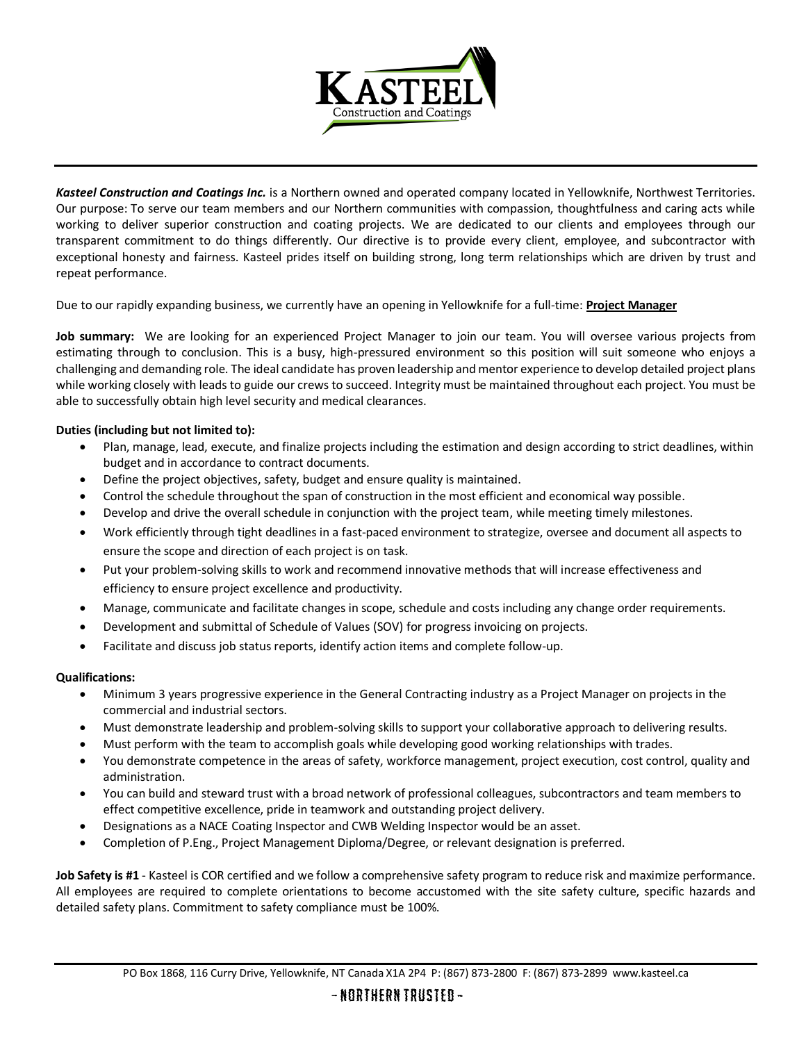

*Kasteel Construction and Coatings Inc.* is a Northern owned and operated company located in Yellowknife, Northwest Territories. Our purpose: To serve our team members and our Northern communities with compassion, thoughtfulness and caring acts while working to deliver superior construction and coating projects. We are dedicated to our clients and employees through our transparent commitment to do things differently. Our directive is to provide every client, employee, and subcontractor with exceptional honesty and fairness. Kasteel prides itself on building strong, long term relationships which are driven by trust and repeat performance.

Due to our rapidly expanding business, we currently have an opening in Yellowknife for a full-time: **Project Manager**

**Job summary:** We are looking for an experienced Project Manager to join our team. You will oversee various projects from estimating through to conclusion. This is a busy, high-pressured environment so this position will suit someone who enjoys a challenging and demanding role. The ideal candidate has proven leadership and mentor experience to develop detailed project plans while working closely with leads to guide our crews to succeed. Integrity must be maintained throughout each project. You must be able to successfully obtain high level security and medical clearances.

## **Duties (including but not limited to):**

- Plan, manage, lead, execute, and finalize projects including the estimation and design according to strict deadlines, within budget and in accordance to contract documents.
- Define the project objectives, safety, budget and ensure quality is maintained.
- Control the schedule throughout the span of construction in the most efficient and economical way possible.
- Develop and drive the overall schedule in conjunction with the project team, while meeting timely milestones.
- Work efficiently through tight deadlines in a fast-paced environment to strategize, oversee and document all aspects to ensure the scope and direction of each project is on task.
- Put your problem-solving skills to work and recommend innovative methods that will increase effectiveness and efficiency to ensure project excellence and productivity.
- Manage, communicate and facilitate changes in scope, schedule and costs including any change order requirements.
- Development and submittal of Schedule of Values (SOV) for progress invoicing on projects.
- Facilitate and discuss job status reports, identify action items and complete follow-up.

## **Qualifications:**

- Minimum 3 years progressive experience in the General Contracting industry as a Project Manager on projects in the commercial and industrial sectors.
- Must demonstrate leadership and problem-solving skills to support your collaborative approach to delivering results.
- Must perform with the team to accomplish goals while developing good working relationships with trades.
- You demonstrate competence in the areas of safety, workforce management, project execution, cost control, quality and administration.
- You can build and steward trust with a broad network of professional colleagues, subcontractors and team members to effect competitive excellence, pride in teamwork and outstanding project delivery.
- Designations as a NACE Coating Inspector and CWB Welding Inspector would be an asset.
- Completion of P.Eng., Project Management Diploma/Degree, or relevant designation is preferred.

**Job Safety is #1** - Kasteel is COR certified and we follow a comprehensive safety program to reduce risk and maximize performance. All employees are required to complete orientations to become accustomed with the site safety culture, specific hazards and detailed safety plans. Commitment to safety compliance must be 100%.